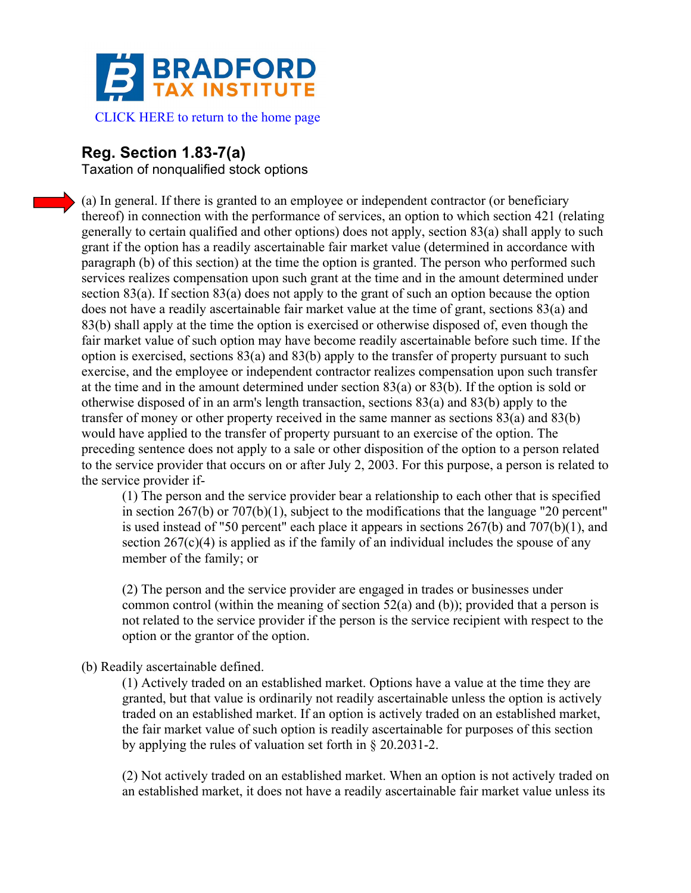

## **Reg. Section 1.83-7(a)**

Taxation of nonqualified stock options

(a) In general. If there is granted to an employee or independent contractor (or beneficiary thereof) in connection with the performance of services, an option to which section 421 (relating generally to certain qualified and other options) does not apply, section 83(a) shall apply to such grant if the option has a readily ascertainable fair market value (determined in accordance with paragraph (b) of this section) at the time the option is granted. The person who performed such services realizes compensation upon such grant at the time and in the amount determined under section 83(a). If section 83(a) does not apply to the grant of such an option because the option does not have a readily ascertainable fair market value at the time of grant, sections 83(a) and 83(b) shall apply at the time the option is exercised or otherwise disposed of, even though the fair market value of such option may have become readily ascertainable before such time. If the option is exercised, sections  $83(a)$  and  $83(b)$  apply to the transfer of property pursuant to such exercise, and the employee or independent contractor realizes compensation upon such transfer at the time and in the amount determined under section 83(a) or 83(b). If the option is sold or otherwise disposed of in an arm's length transaction, sections 83(a) and 83(b) apply to the transfer of money or other property received in the same manner as sections 83(a) and 83(b) would have applied to the transfer of property pursuant to an exercise of the option. The preceding sentence does not apply to a sale or other disposition of the option to a person related to the service provider that occurs on or after July 2, 2003. For this purpose, a person is related to the service provider if-

(1) The person and the service provider bear a relationship to each other that is specified in section 267(b) or 707(b)(1), subject to the modifications that the language "20 percent" is used instead of "50 percent" each place it appears in sections 267(b) and 707(b)(1), and section  $267(c)(4)$  is applied as if the family of an individual includes the spouse of any member of the family; or

(2) The person and the service provider are engaged in trades or businesses under common control (within the meaning of section  $52(a)$  and (b)); provided that a person is not related to the service provider if the person is the service recipient with respect to the option or the grantor of the option.

## (b) Readily ascertainable defined.

(1) Actively traded on an established market. Options have a value at the time they are granted, but that value is ordinarily not readily ascertainable unless the option is actively traded on an established market. If an option is actively traded on an established market, the fair market value of such option is readily ascertainable for purposes of this section by applying the rules of valuation set forth in § 20.2031-2.

(2) Not actively traded on an established market. When an option is not actively traded on an established market, it does not have a readily ascertainable fair market value unless its